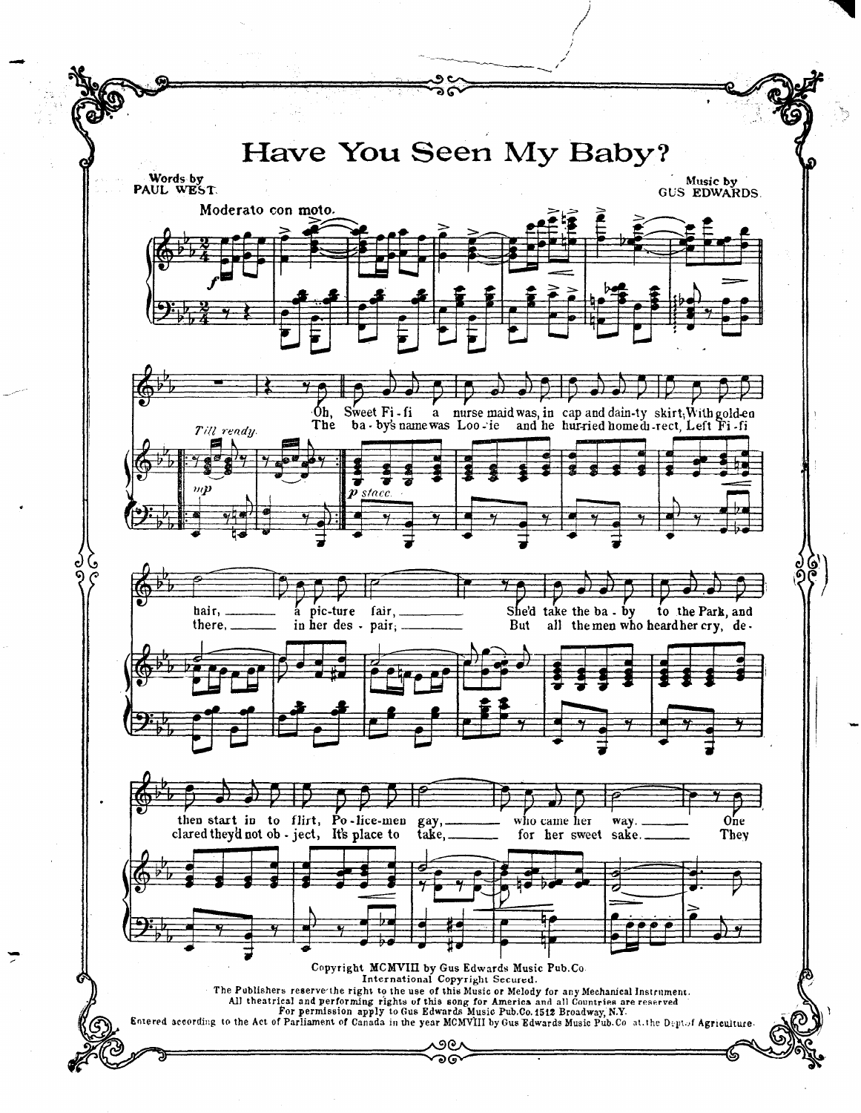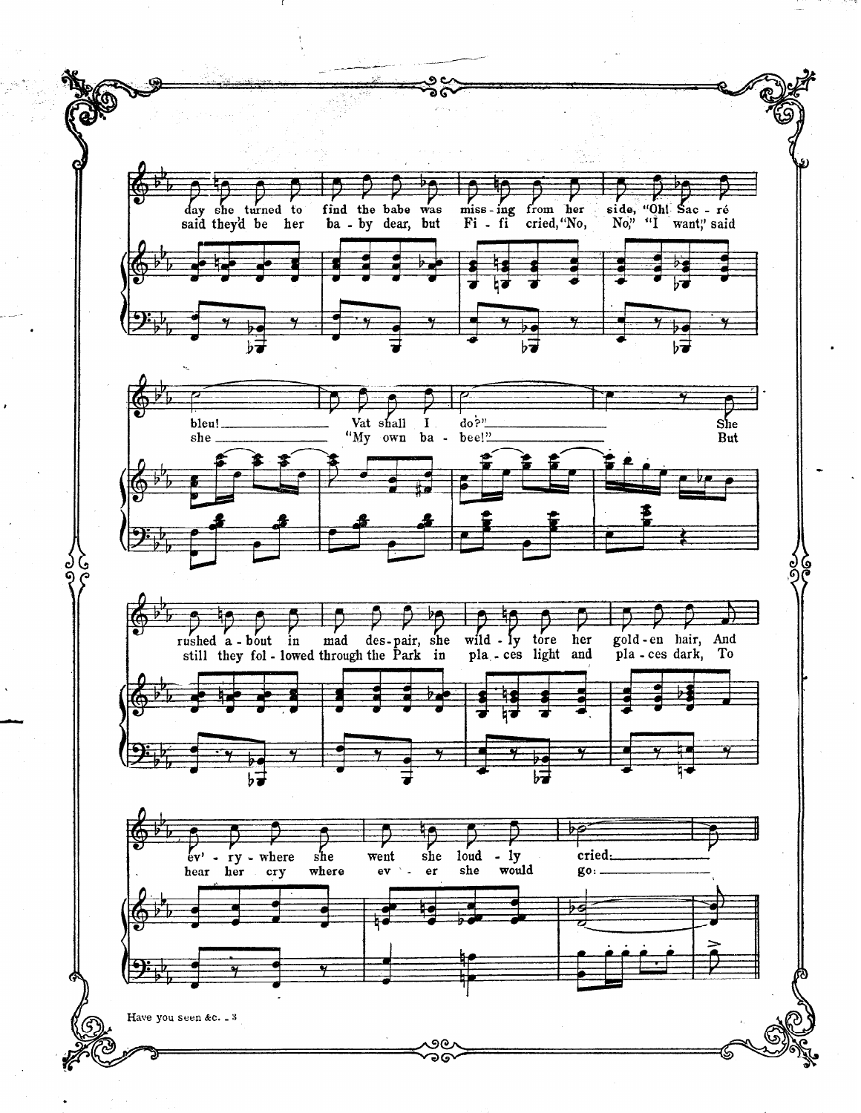